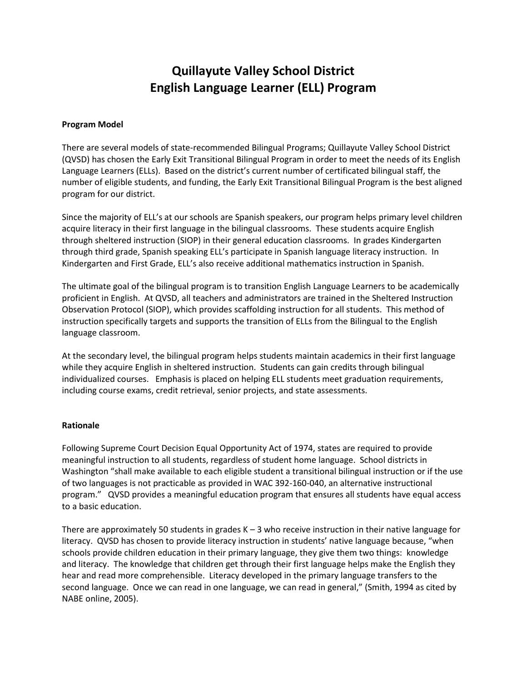# **Quillayute Valley School District English Language Learner (ELL) Program**

## **Program Model**

There are several models of state-recommended Bilingual Programs; Quillayute Valley School District (QVSD) has chosen the Early Exit Transitional Bilingual Program in order to meet the needs of its English Language Learners (ELLs). Based on the district's current number of certificated bilingual staff, the number of eligible students, and funding, the Early Exit Transitional Bilingual Program is the best aligned program for our district.

Since the majority of ELL's at our schools are Spanish speakers, our program helps primary level children acquire literacy in their first language in the bilingual classrooms. These students acquire English through sheltered instruction (SIOP) in their general education classrooms. In grades Kindergarten through third grade, Spanish speaking ELL's participate in Spanish language literacy instruction. In Kindergarten and First Grade, ELL's also receive additional mathematics instruction in Spanish.

The ultimate goal of the bilingual program is to transition English Language Learners to be academically proficient in English. At QVSD, all teachers and administrators are trained in the Sheltered Instruction Observation Protocol (SIOP), which provides scaffolding instruction for all students. This method of instruction specifically targets and supports the transition of ELLs from the Bilingual to the English language classroom.

At the secondary level, the bilingual program helps students maintain academics in their first language while they acquire English in sheltered instruction. Students can gain credits through bilingual individualized courses. Emphasis is placed on helping ELL students meet graduation requirements, including course exams, credit retrieval, senior projects, and state assessments.

#### **Rationale**

Following Supreme Court Decision Equal Opportunity Act of 1974, states are required to provide meaningful instruction to all students, regardless of student home language. School districts in Washington "shall make available to each eligible student a transitional bilingual instruction or if the use of two languages is not practicable as provided in WAC 392-160-040, an alternative instructional program." QVSD provides a meaningful education program that ensures all students have equal access to a basic education.

There are approximately 50 students in grades  $K - 3$  who receive instruction in their native language for literacy. QVSD has chosen to provide literacy instruction in students' native language because, "when schools provide children education in their primary language, they give them two things: knowledge and literacy. The knowledge that children get through their first language helps make the English they hear and read more comprehensible. Literacy developed in the primary language transfers to the second language. Once we can read in one language, we can read in general," (Smith, 1994 as cited by NABE online, 2005).